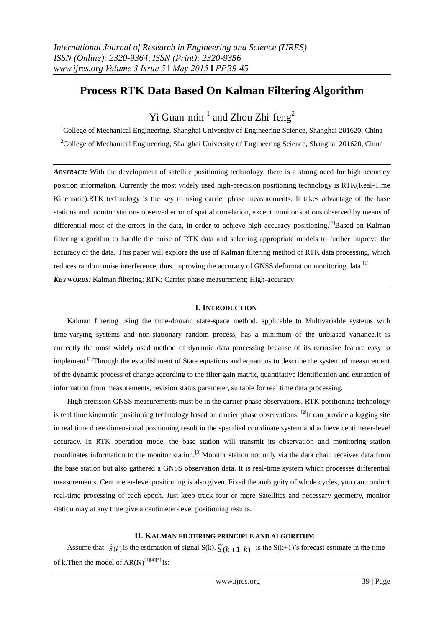# **Process RTK Data Based On Kalman Filtering Algorithm**

# Yi Guan-min<sup>1</sup> and Zhou Zhi-feng<sup>2</sup>

<sup>1</sup>College of Mechanical Engineering, Shanghai University of Engineering Science, Shanghai 201620, China <sup>2</sup>College of Mechanical Engineering, Shanghai University of Engineering Science, Shanghai 201620, China

*ABSTRACT:* With the development of satellite positioning technology, there is a strong need for high accuracy position information. Currently the most widely used high-precision positioning technology is RTK(Real-Time Kinematic).RTK technology is the key to using carrier phase measurements. It takes advantage of the base stations and monitor stations observed error of spatial correlation, except monitor stations observed by means of differential most of the errors in the data, in order to achieve high accuracy positioning.<sup>[3]</sup>Based on Kalman filtering algorithm to handle the noise of RTK data and selecting appropriate models to further improve the accuracy of the data. This paper will explore the use of Kalman filtering method of RTK data processing, which reduces random noise interference, thus improving the accuracy of GNSS deformation monitoring data.<sup>[1]</sup> *KEY WORDS:* Kalman filtering; RTK; Carrier phase measurement; High-accuracy

## **I. INTRODUCTION**

Kalman filtering using the time-domain state-space method, applicable to Multivariable systems with time-varying systems and non-stationary random process, has a minimum of the unbiased variance.It is currently the most widely used method of dynamic data processing because of its recursive feature easy to implement.<sup>[1]</sup>Through the establishment of State equations and equations to describe the system of measurement of the dynamic process of change according to the filter gain matrix, quantitative identification and extraction of information from measurements, revision status parameter, suitable for real time data processing.

High precision GNSS measurements must be in the carrier phase observations. RTK positioning technology is real time kinematic positioning technology based on carrier phase observations. <sup>[2]</sup>It can provide a logging site in real time three dimensional positioning result in the specified coordinate system and achieve centimeter-level accuracy. In RTK operation mode, the base station will transmit its observation and monitoring station coordinates information to the monitor station.[3] Monitor station not only via the data chain receives data from the base station but also gathered a GNSS observation data. It is real-time system which processes differential measurements. Centimeter-level positioning is also given. Fixed the ambiguity of whole cycles, you can conduct real-time processing of each epoch. Just keep track four or more Satellites and necessary geometry, monitor station may at any time give a centimeter-level positioning results.

## **II. KALMAN FILTERING PRINCIPLE AND ALGORITHM**

Assume that  $\tilde{S}(k)$  is the estimation of signal S(k).  $\tilde{S}(k+1|k)$  is the S(k+1)'s forecast estimate in the time of k. Then the model of  $AR(N)^{[1][4][5]}$  is: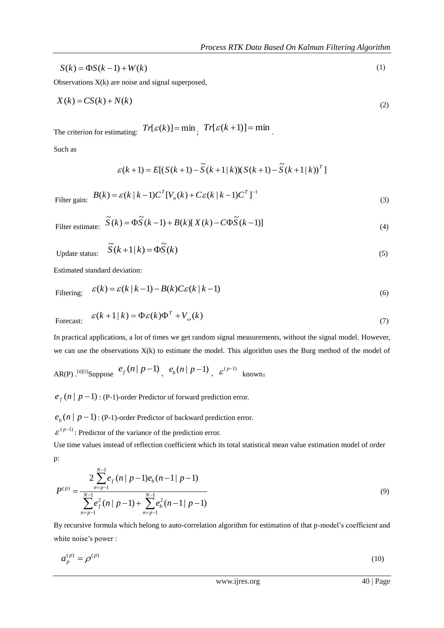$$
S(k) = \Phi S(k-1) + W(k) \tag{1}
$$

Observations X(k) are noise and signal superposed,

$$
X(k) = CS(k) + N(k)
$$
\n<sup>(2)</sup>

The criterion for estimating:  $Tr[\mathcal{E}(k)] = \min_{i} Tr[\mathcal{E}(k+1)] = \min_{i}$ 

Such as

$$
\varepsilon(k+1) = E[(S(k+1) - \tilde{S}(k+1)k)) (S(k+1) - \tilde{S}(k+1)k)^T]
$$

Filter gain:  $(k) = \varepsilon (k | k - 1) C^{T} [V_{n}(k) + C \varepsilon (k | k - 1) C^{T}]^{-1}$  $B(k) = \varepsilon(k | k - 1)C^{T}[V_{n}(k) + C\varepsilon(k | k - 1)C^{T}]$ (3)

Filter estimate: 
$$
\tilde{S}(k) = \Phi \tilde{S}(k-1) + B(k)[X(k) - C\Phi \tilde{S}(k-1)]
$$
 (4)

Update status: 
$$
\tilde{S}(k+1|k) = \Phi \tilde{S}(k)
$$
 (5)

Estimated standard deviation:

Filtering: 
$$
\varepsilon(k) = \varepsilon(k | k - 1) - B(k)C\varepsilon(k | k - 1)
$$
 (6)

$$
\text{Forecast:} \quad \varepsilon(k+1 \mid k) = \Phi \varepsilon(k) \Phi^T + V_{\omega}(k) \tag{7}
$$

In practical applications, a lot of times we get random signal measurements, without the signal model. However, we can use the observations  $X(k)$  to estimate the model. This algorithm uses the Burg method of the model of

AR(P)  $\cdot$  <sup>[4][5]</sup>Suppose  $e_f(n | p-1)$   $e_b(n | p-1)$   $\epsilon^{(p-1)}$  known:

 $e_f(n | p-1)$ : (P-1)-order Predictor of forward prediction error.

 $e_b(n | p-1)$ : (P-1)-order Predictor of backward prediction error.

 $\mathcal{E}^{(p-1)}$ : Predictor of the variance of the prediction error.

Use time values instead of reflection coefficient which its total statistical mean value estimation model of order p:

$$
P^{(p)} = \frac{2 \sum_{n=p-1}^{N-1} e_f(n | p-1) e_b(n-1 | p-1)}{\sum_{n=p-1}^{N-1} e_f^2(n | p-1) + \sum_{n=p-1}^{N-1} e_b^2(n-1 | p-1)}
$$
(9)

By recursive formula which belong to auto-correlation algorithm for estimation of that p-model's coefficient and white noise's power :

$$
a_p^{(p)} = \rho^{(p)} \tag{10}
$$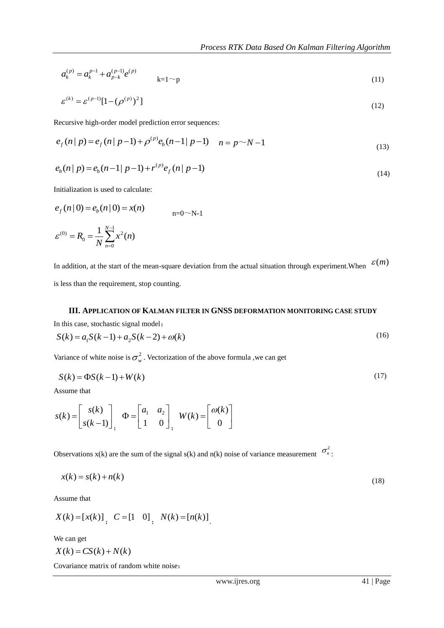$$
a_k^{(p)} = a_k^{p-1} + a_{p-k}^{(p-1)} e^{(p)} \qquad \qquad k=1 \sim p \tag{11}
$$

$$
\varepsilon^{(k)} = \varepsilon^{(p-1)} [1 - (\rho^{(p)})^2] \tag{12}
$$

Recursive high-order model prediction error sequences:

$$
e_f(n|p) = e_f(n|p-1) + \rho^{(p)}e_b(n-1|p-1) \quad n = p \sim N-1
$$
\n(13)

$$
e_b(n | p) = e_b(n-1 | p-1) + r^{(p)} e_f(n | p-1)
$$
\n(14)

Initialization is used to calculate:

$$
e_f(n | 0) = e_b(n | 0) = x(n)
$$
  
\n
$$
\varepsilon^{(0)} = R_0 = \frac{1}{N} \sum_{n=0}^{N-1} x^2(n)
$$

(a)  $w^2 = a_1^{p-1} + a_2^{p-1}b_3^{p-1}e^{2i\theta}$  (a)<br>  $w^2 = a_1^{p-1+1}[1 + (p^{(p)})^2]$  (12)<br>  $w^2 = a_1^{p-1+1}[1 + (p^{(p)})^2]$  (12)<br>  $w^2 = a_1^{p-1+1}[1 + (p^{(p)})^2]$  (a)  $p^2 = a_1^{p-1}$  (b)  $p^2 = a_1^{p-1}$  (b)  $p^2 = a_1^{p-1}$  (b)  $p^2 = a_1^{p-1}$  ( In addition, at the start of the mean-square deviation from the actual situation through experiment. When  $\mathcal{E}(m)$ is less than the requirement, stop counting.

# **III. APPLICATION OF KALMAN FILTER IN GNSS DEFORMATION MONITORING CASE STUDY**

In this case, stochastic signal model:

$$
S(k) = a_1 S(k-1) + a_2 S(k-2) + \omega(k)
$$
\n(16)

Variance of white noise is  $\sigma_w^2$ . Vectorization of the above formula , we can get

$$
S(k) = \Phi S(k-1) + W(k) \tag{17}
$$

Assume that

$$
s(k) = \begin{bmatrix} s(k) \\ s(k-1) \end{bmatrix}, \quad \Phi = \begin{bmatrix} a_1 & a_2 \\ 1 & 0 \end{bmatrix}, \quad W(k) = \begin{bmatrix} \omega(k) \\ 0 \end{bmatrix}
$$

Observations  $x(k)$  are the sum of the signal  $s(k)$  and  $n(k)$  noise of variance measurement  $\sigma_n^2$ .

$$
x(k) = s(k) + n(k) \tag{18}
$$

Assume that

$$
X(k) = [x(k)] \, , \quad C = [1 \quad 0] \, , \quad N(k) = [n(k)] \, .
$$

We can get

$$
X(k) = CS(k) + N(k)
$$

Covariance matrix of random white noise: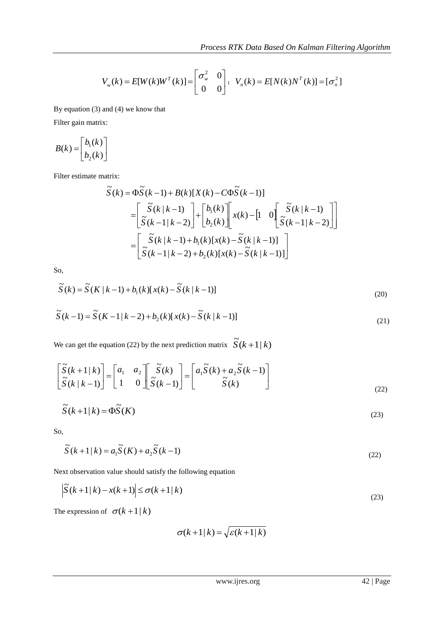(21)

$$
V_w(k) = E[W(k)W^T(k)] = \begin{bmatrix} \sigma_w^2 & 0 \\ 0 & 0 \end{bmatrix}; \ \ V_n(k) = E[N(k)N^T(k)] = [\sigma_n^2]
$$

By equation (3) and (4) we know that

Filter gain matrix:

$$
B(k) = \begin{bmatrix} b_1(k) \\ b_2(k) \end{bmatrix}
$$

Filter estimate matrix:

$$
\tilde{S}(k) = \Phi \tilde{S}(k-1) + B(k)[X(k) - C\Phi \tilde{S}(k-1)]
$$
\n
$$
= \begin{bmatrix} \tilde{S}(k|k-1) \\ \tilde{S}(k-1|k-2) \end{bmatrix} + \begin{bmatrix} b_1(k) \\ b_2(k) \end{bmatrix} \begin{bmatrix} x(k) - \begin{bmatrix} 1 & 0 \end{bmatrix} \begin{bmatrix} \tilde{S}(k|k-1) \\ \tilde{S}(k-1|k-2) \end{bmatrix}
$$
\n
$$
= \begin{bmatrix} \tilde{S}(k|k-1) + b_1(k)[x(k) - \tilde{S}(k|k-1)] \\ \tilde{S}(k-1|k-2) + b_2(k)[x(k) - \tilde{S}(k|k-1)] \end{bmatrix}
$$

So,

$$
\widetilde{S}(k) = \widetilde{S}(K|k-1) + b_1(k)[x(k) - \widetilde{S}(k|k-1)]
$$
\n(20)  
\n
$$
\widetilde{S}(k-1) = \widetilde{S}(K-1|k-2) + b_2(k)[x(k) - \widetilde{S}(k|k-1)]
$$
\n(21)

We can get the equation (22) by the next prediction matrix 
$$
\widetilde{S}(k+1|k)
$$

$$
\left[\widetilde{S}(k+1|k)\right]_{-}\left[a_{1} \quad a_{2}\right] \left[\widetilde{S}(k)\right]_{-}\left[a_{1}\widetilde{S}(k)+a_{2}\widetilde{S}(k-1)\right]
$$

$$
\begin{bmatrix} S(k+1|k) \\ \widetilde{S}(k|k-1) \end{bmatrix} = \begin{bmatrix} a_1 & a_2 \\ 1 & 0 \end{bmatrix} \begin{bmatrix} S(k) \\ \widetilde{S}(k-1) \end{bmatrix} = \begin{bmatrix} a_1 S(k) + a_2 S(k-1) \\ \widetilde{S}(k) \end{bmatrix}
$$
(22)

$$
\widetilde{S}(k+1|k) = \Phi \widetilde{S}(K) \tag{23}
$$

So,

$$
\widetilde{S}(k+1|k) = a_1 \widetilde{S}(K) + a_2 \widetilde{S}(k-1)
$$
\n(22)

Next observation value should satisfy the following equation

$$
\left|\widetilde{S}(k+1|k) - x(k+1)\right| \le \sigma(k+1|k)
$$
\n(23)

The expression of  $\sigma(k+1|k)$ 

$$
\sigma(k+1|k) = \sqrt{\varepsilon(k+1|k)}
$$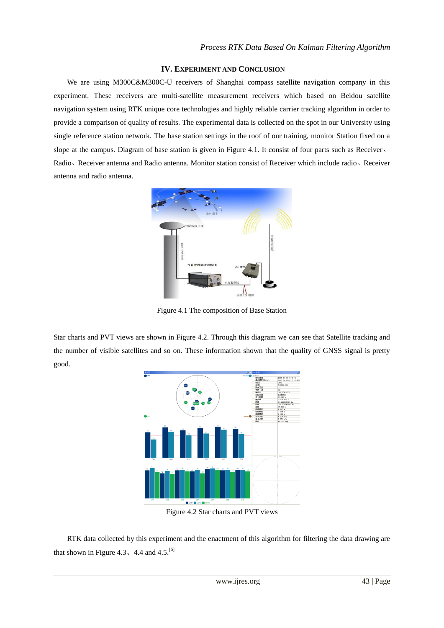## **IV. EXPERIMENT AND CONCLUSION**

We are using M300C&M300C-U receivers of Shanghai compass satellite navigation company in this experiment. These receivers are multi-satellite measurement receivers which based on Beidou satellite navigation system using RTK unique core technologies and highly reliable carrier tracking algorithm in order to provide a comparison of quality of results. The experimental data is collected on the spot in our University using single reference station network. The base station settings in the roof of our training, monitor Station fixed on a slope at the campus. Diagram of base station is given in Figure 4.1. It consist of four parts such as Receiver, Radio、Receiver antenna and Radio antenna. Monitor station consist of Receiver which include radio、Receiver antenna and radio antenna.



Figure 4.1 The composition of Base Station

Star charts and PVT views are shown in Figure 4.2. Through this diagram we can see that Satellite tracking and the number of visible satellites and so on. These information shown that the quality of GNSS signal is pretty good.



Figure 4.2 Star charts and PVT views

RTK data collected by this experiment and the enactment of this algorithm for filtering the data drawing are that shown in Figure 4.3  $\sim$  4.4 and 4.5.<sup>[6]</sup>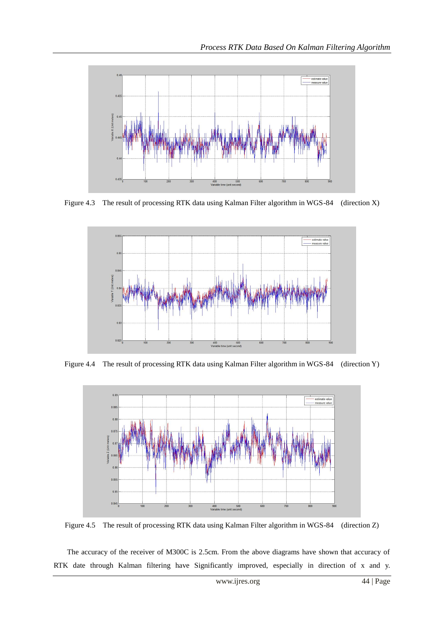

Figure 4.3 The result of processing RTK data using Kalman Filter algorithm in WGS-84 (direction X)



Figure 4.4The result of processing RTK data using Kalman Filter algorithm in WGS-84 (direction Y)



Figure 4.5 The result of processing RTK data using Kalman Filter algorithm in WGS-84 (direction Z)

The accuracy of the receiver of M300C is 2.5cm. From the above diagrams have shown that accuracy of RTK date through Kalman filtering have Significantly improved, especially in direction of x and y.